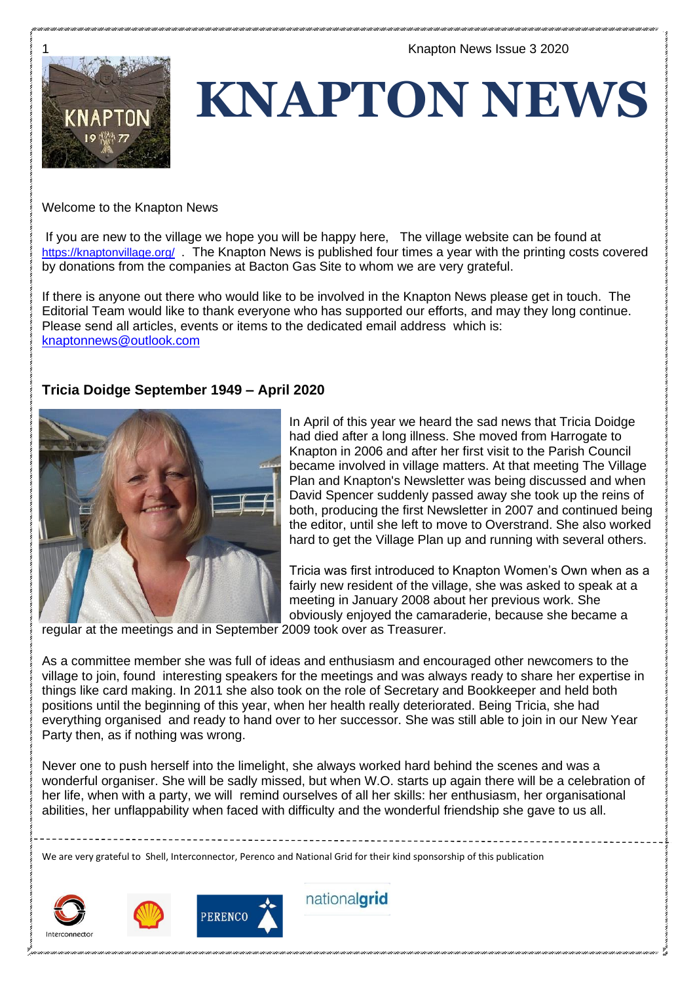

**KNAPTON NEWS**

Welcome to the Knapton News

If you are new to the village we hope you will be happy here, The village website can be found at <https://knaptonvillage.org/>. The Knapton News is published four times a year with the printing costs covered by donations from the companies at Bacton Gas Site to whom we are very grateful.

If there is anyone out there who would like to be involved in the Knapton News please get in touch. The Editorial Team would like to thank everyone who has supported our efforts, and may they long continue. Please send all articles, events or items to the dedicated email address which is: [knaptonnews@outlook.com](mailto:knaptonnews@outlook.com)

# **Tricia Doidge September 1949 – April 2020**



In April of this year we heard the sad news that Tricia Doidge had died after a long illness. She moved from Harrogate to Knapton in 2006 and after her first visit to the Parish Council became involved in village matters. At that meeting The Village Plan and Knapton's Newsletter was being discussed and when David Spencer suddenly passed away she took up the reins of both, producing the first Newsletter in 2007 and continued being the editor, until she left to move to Overstrand. She also worked hard to get the Village Plan up and running with several others.

Tricia was first introduced to Knapton Women's Own when as a fairly new resident of the village, she was asked to speak at a meeting in January 2008 about her previous work. She obviously enjoyed the camaraderie, because she became a

regular at the meetings and in September 2009 took over as Treasurer.

As a committee member she was full of ideas and enthusiasm and encouraged other newcomers to the village to join, found interesting speakers for the meetings and was always ready to share her expertise in things like card making. In 2011 she also took on the role of Secretary and Bookkeeper and held both positions until the beginning of this year, when her health really deteriorated. Being Tricia, she had everything organised and ready to hand over to her successor. She was still able to join in our New Year Party then, as if nothing was wrong.

Never one to push herself into the limelight, she always worked hard behind the scenes and was a wonderful organiser. She will be sadly missed, but when W.O. starts up again there will be a celebration of her life, when with a party, we will remind ourselves of all her skills: her enthusiasm, her organisational abilities, her unflappability when faced with difficulty and the wonderful friendship she gave to us all.

We are very grateful to Shell, Interconnector, Perenco and National Grid for their kind sponsorship of this publication





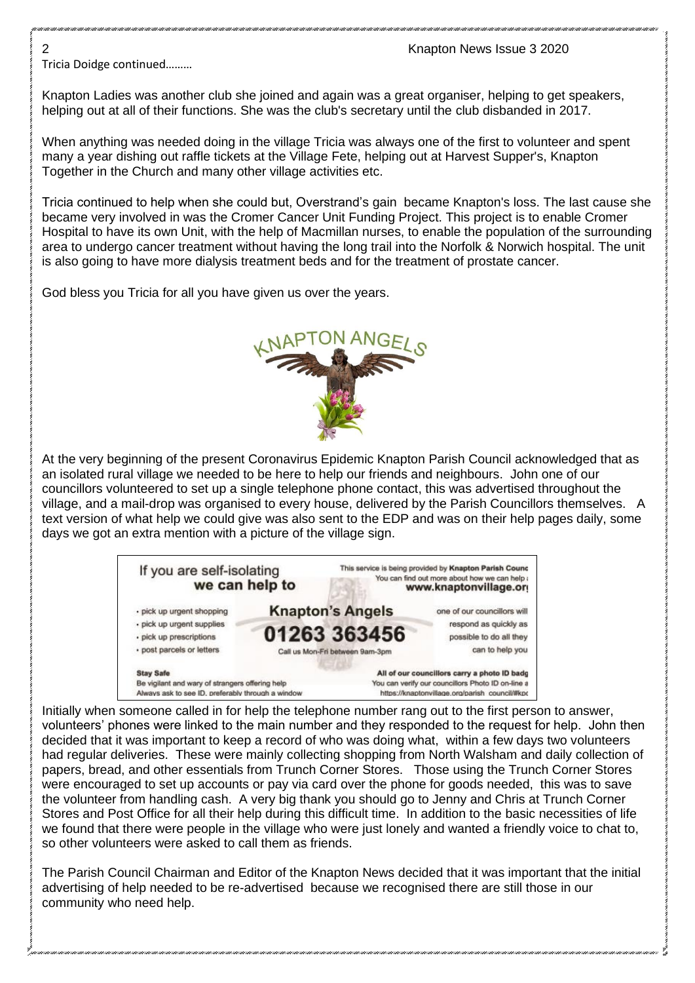Tricia Doidge continued………

Knapton Ladies was another club she joined and again was a great organiser, helping to get speakers, helping out at all of their functions. She was the club's secretary until the club disbanded in 2017.

When anything was needed doing in the village Tricia was always one of the first to volunteer and spent many a year dishing out raffle tickets at the Village Fete, helping out at Harvest Supper's, Knapton Together in the Church and many other village activities etc.

Tricia continued to help when she could but, Overstrand's gain became Knapton's loss. The last cause she became very involved in was the Cromer Cancer Unit Funding Project. This project is to enable Cromer Hospital to have its own Unit, with the help of Macmillan nurses, to enable the population of the surrounding area to undergo cancer treatment without having the long trail into the Norfolk & Norwich hospital. The unit is also going to have more dialysis treatment beds and for the treatment of prostate cancer.

God bless you Tricia for all you have given us over the years.



At the very beginning of the present Coronavirus Epidemic Knapton Parish Council acknowledged that as an isolated rural village we needed to be here to help our friends and neighbours. John one of our councillors volunteered to set up a single telephone phone contact, this was advertised throughout the village, and a mail-drop was organised to every house, delivered by the Parish Councillors themselves. A text version of what help we could give was also sent to the EDP and was on their help pages daily, some days we got an extra mention with a picture of the village sign.



Initially when someone called in for help the telephone number rang out to the first person to answer, volunteers' phones were linked to the main number and they responded to the request for help. John then decided that it was important to keep a record of who was doing what, within a few days two volunteers had regular deliveries. These were mainly collecting shopping from North Walsham and daily collection of papers, bread, and other essentials from Trunch Corner Stores. Those using the Trunch Corner Stores were encouraged to set up accounts or pay via card over the phone for goods needed, this was to save the volunteer from handling cash. A very big thank you should go to Jenny and Chris at Trunch Corner Stores and Post Office for all their help during this difficult time. In addition to the basic necessities of life we found that there were people in the village who were just lonely and wanted a friendly voice to chat to, so other volunteers were asked to call them as friends.

The Parish Council Chairman and Editor of the Knapton News decided that it was important that the initial advertising of help needed to be re-advertised because we recognised there are still those in our community who need help.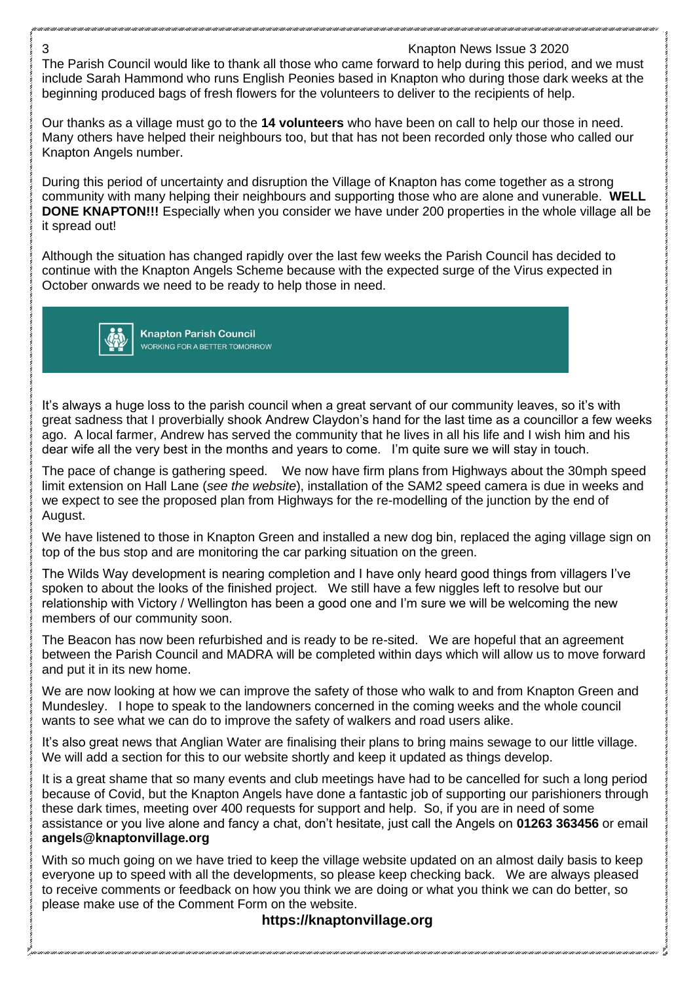3 Knapton News Issue 3 2020 The Parish Council would like to thank all those who came forward to help during this period, and we must include Sarah Hammond who runs English Peonies based in Knapton who during those dark weeks at the beginning produced bags of fresh flowers for the volunteers to deliver to the recipients of help.

Our thanks as a village must go to the **14 volunteers** who have been on call to help our those in need. Many others have helped their neighbours too, but that has not been recorded only those who called our Knapton Angels number.

During this period of uncertainty and disruption the Village of Knapton has come together as a strong community with many helping their neighbours and supporting those who are alone and vunerable. **WELL DONE KNAPTON!!!** Especially when you consider we have under 200 properties in the whole village all be it spread out!

Although the situation has changed rapidly over the last few weeks the Parish Council has decided to continue with the Knapton Angels Scheme because with the expected surge of the Virus expected in October onwards we need to be ready to help those in need.



**Knapton Parish Council** WORKING FOR A BETTER TOMORROW

It's always a huge loss to the parish council when a great servant of our community leaves, so it's with great sadness that I proverbially shook Andrew Claydon's hand for the last time as a councillor a few weeks ago. A local farmer, Andrew has served the community that he lives in all his life and I wish him and his dear wife all the very best in the months and years to come. I'm quite sure we will stay in touch.

The pace of change is gathering speed. We now have firm plans from Highways about the 30mph speed limit extension on Hall Lane (*see the website*), installation of the SAM2 speed camera is due in weeks and we expect to see the proposed plan from Highways for the re-modelling of the junction by the end of August.

We have listened to those in Knapton Green and installed a new dog bin, replaced the aging village sign on top of the bus stop and are monitoring the car parking situation on the green.

The Wilds Way development is nearing completion and I have only heard good things from villagers I've spoken to about the looks of the finished project. We still have a few niggles left to resolve but our relationship with Victory / Wellington has been a good one and I'm sure we will be welcoming the new members of our community soon.

The Beacon has now been refurbished and is ready to be re-sited. We are hopeful that an agreement between the Parish Council and MADRA will be completed within days which will allow us to move forward and put it in its new home.

We are now looking at how we can improve the safety of those who walk to and from Knapton Green and Mundesley. I hope to speak to the landowners concerned in the coming weeks and the whole council wants to see what we can do to improve the safety of walkers and road users alike.

It's also great news that Anglian Water are finalising their plans to bring mains sewage to our little village. We will add a section for this to our website shortly and keep it updated as things develop.

It is a great shame that so many events and club meetings have had to be cancelled for such a long period because of Covid, but the Knapton Angels have done a fantastic job of supporting our parishioners through these dark times, meeting over 400 requests for support and help. So, if you are in need of some assistance or you live alone and fancy a chat, don't hesitate, just call the Angels on **01263 363456** or email **angels@knaptonvillage.org**

With so much going on we have tried to keep the village website updated on an almost daily basis to keep everyone up to speed with all the developments, so please keep checking back. We are always pleased to receive comments or feedback on how you think we are doing or what you think we can do better, so please make use of the Comment Form on the website.

# **https://knaptonvillage.org**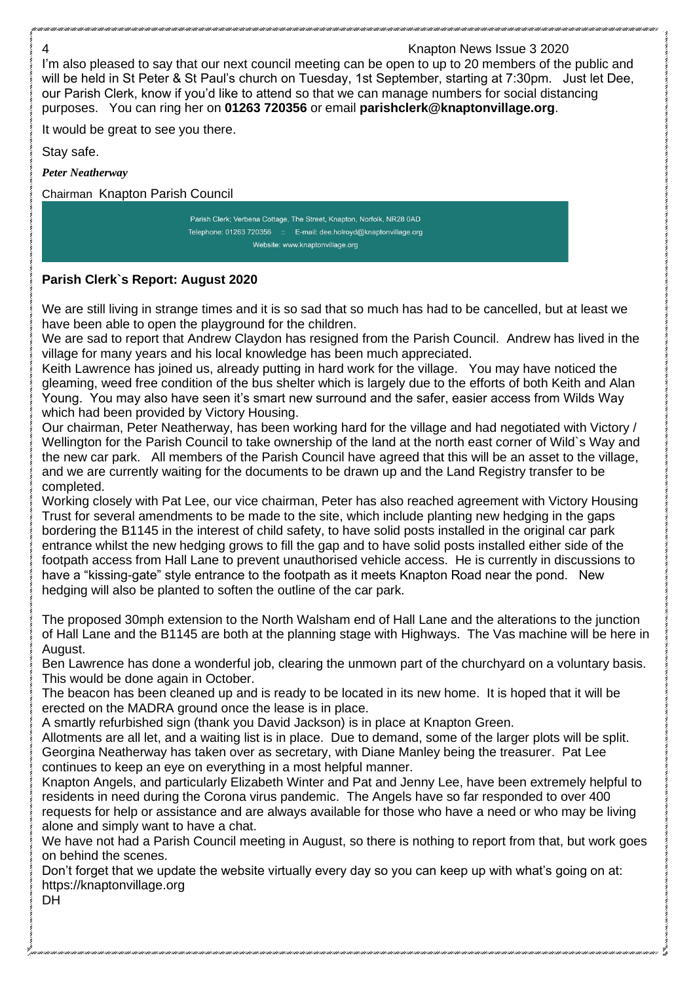# 4 Knapton News Issue 3 2020 I'm also pleased to say that our next council meeting can be open to up to 20 members of the public and will be held in St Peter & St Paul's church on Tuesday, 1st September, starting at 7:30pm. Just let Dee, our Parish Clerk, know if you'd like to attend so that we can manage numbers for social distancing purposes. You can ring her on **01263 720356** or email **parishclerk@knaptonvillage.org**. It would be great to see you there. Stay safe. *Peter Neatherway* Chairman Knapton Parish Council Parish Clerk; Verbena Cottage, The Street, Knapton, Norfolk, NR28 0AD Telephone: 01263 720356 :: E-mail: dee.holroyd@knaptonvillage.org Website: www.knaptonvillage.org

# **Parish Clerk`s Report: August 2020**

We are still living in strange times and it is so sad that so much has had to be cancelled, but at least we have been able to open the playground for the children.

We are sad to report that Andrew Claydon has resigned from the Parish Council. Andrew has lived in the village for many years and his local knowledge has been much appreciated.

Keith Lawrence has joined us, already putting in hard work for the village. You may have noticed the gleaming, weed free condition of the bus shelter which is largely due to the efforts of both Keith and Alan Young. You may also have seen it's smart new surround and the safer, easier access from Wilds Way which had been provided by Victory Housing.

Our chairman, Peter Neatherway, has been working hard for the village and had negotiated with Victory / Wellington for the Parish Council to take ownership of the land at the north east corner of Wild`s Way and the new car park. All members of the Parish Council have agreed that this will be an asset to the village, and we are currently waiting for the documents to be drawn up and the Land Registry transfer to be completed.

Working closely with Pat Lee, our vice chairman, Peter has also reached agreement with Victory Housing Trust for several amendments to be made to the site, which include planting new hedging in the gaps bordering the B1145 in the interest of child safety, to have solid posts installed in the original car park entrance whilst the new hedging grows to fill the gap and to have solid posts installed either side of the footpath access from Hall Lane to prevent unauthorised vehicle access. He is currently in discussions to have a "kissing-gate" style entrance to the footpath as it meets Knapton Road near the pond. New hedging will also be planted to soften the outline of the car park.

The proposed 30mph extension to the North Walsham end of Hall Lane and the alterations to the junction of Hall Lane and the B1145 are both at the planning stage with Highways. The Vas machine will be here in August.

Ben Lawrence has done a wonderful job, clearing the unmown part of the churchyard on a voluntary basis. This would be done again in October.

The beacon has been cleaned up and is ready to be located in its new home. It is hoped that it will be erected on the MADRA ground once the lease is in place.

A smartly refurbished sign (thank you David Jackson) is in place at Knapton Green.

Allotments are all let, and a waiting list is in place. Due to demand, some of the larger plots will be split. Georgina Neatherway has taken over as secretary, with Diane Manley being the treasurer. Pat Lee continues to keep an eye on everything in a most helpful manner.

Knapton Angels, and particularly Elizabeth Winter and Pat and Jenny Lee, have been extremely helpful to residents in need during the Corona virus pandemic. The Angels have so far responded to over 400 requests for help or assistance and are always available for those who have a need or who may be living alone and simply want to have a chat.

We have not had a Parish Council meeting in August, so there is nothing to report from that, but work goes on behind the scenes.

Don't forget that we update the website virtually every day so you can keep up with what's going on at: https://knaptonvillage.org

DH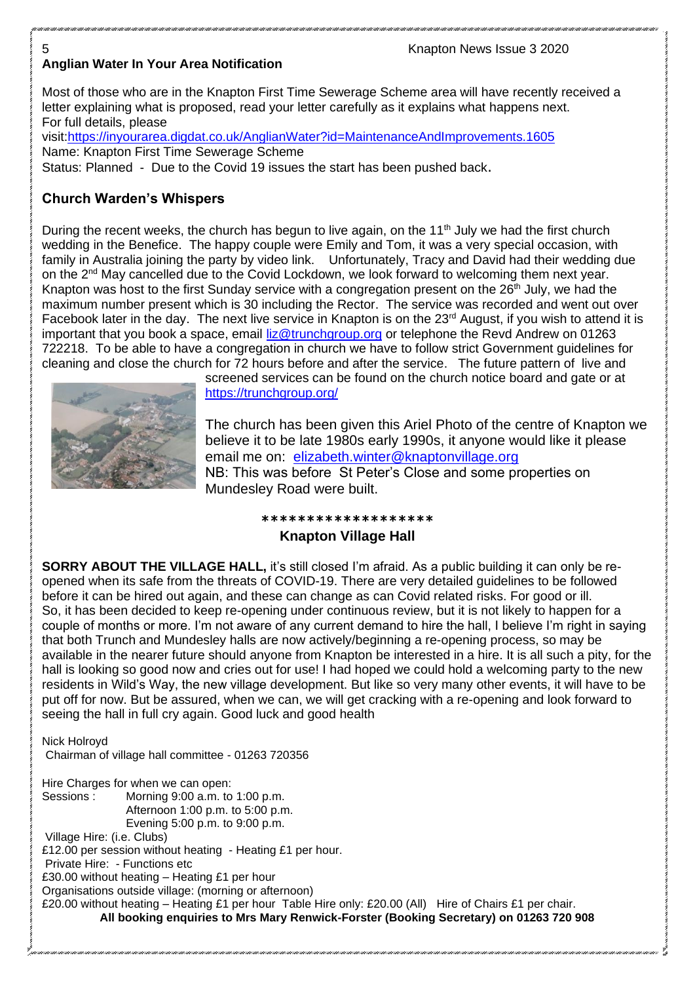# **Anglian Water In Your Area Notification**

Most of those who are in the Knapton First Time Sewerage Scheme area will have recently received a letter explaining what is proposed, read your letter carefully as it explains what happens next. For full details, please

visit[:https://inyourarea.digdat.co.uk/AnglianWater?id=MaintenanceAndImprovements.1605](https://inyourarea.digdat.co.uk/AnglianWater?id=MaintenanceAndImprovements.1605)

Name: Knapton First Time Sewerage Scheme Status: Planned - Due to the Covid 19 issues the start has been pushed back.

# **Church Warden's Whispers**

During the recent weeks, the church has begun to live again, on the 11<sup>th</sup> July we had the first church wedding in the Benefice. The happy couple were Emily and Tom, it was a very special occasion, with family in Australia joining the party by video link. Unfortunately, Tracy and David had their wedding due on the 2<sup>nd</sup> May cancelled due to the Covid Lockdown, we look forward to welcoming them next year. Knapton was host to the first Sunday service with a congregation present on the 26<sup>th</sup> July, we had the maximum number present which is 30 including the Rector. The service was recorded and went out over Facebook later in the day. The next live service in Knapton is on the 23<sup>rd</sup> August, if you wish to attend it is important that you book a space, email [liz@trunchgroup.org](mailto:liz@trunchgroup.org) or telephone the Revd Andrew on 01263 722218. To be able to have a congregation in church we have to follow strict Government guidelines for cleaning and close the church for 72 hours before and after the service. The future pattern of live and



screened services can be found on the church notice board and gate or at <https://trunchgroup.org/>

The church has been given this Ariel Photo of the centre of Knapton we believe it to be late 1980s early 1990s, it anyone would like it please email me on: [elizabeth.winter@knaptonvillage.org](mailto:elizabeth.winter@knaptonvillage.org) NB: This was before St Peter's Close and some properties on Mundesley Road were built.

# **\*\*\*\*\*\*\*\*\*\*\*\*\*\*\*\*\*\*\* Knapton Village Hall**

**SORRY ABOUT THE VILLAGE HALL, it's still closed I'm afraid. As a public building it can only be re**opened when its safe from the threats of COVID-19. There are very detailed guidelines to be followed before it can be hired out again, and these can change as can Covid related risks. For good or ill. So, it has been decided to keep re-opening under continuous review, but it is not likely to happen for a couple of months or more. I'm not aware of any current demand to hire the hall, I believe I'm right in saying that both Trunch and Mundesley halls are now actively/beginning a re-opening process, so may be available in the nearer future should anyone from Knapton be interested in a hire. It is all such a pity, for the hall is looking so good now and cries out for use! I had hoped we could hold a welcoming party to the new residents in Wild's Way, the new village development. But like so very many other events, it will have to be put off for now. But be assured, when we can, we will get cracking with a re-opening and look forward to seeing the hall in full cry again. Good luck and good health

Nick Holroyd Chairman of village hall committee - 01263 720356

Hire Charges for when we can open: Sessions : Morning 9:00 a.m. to 1:00 p.m. Afternoon 1:00 p.m. to 5:00 p.m. Evening 5:00 p.m. to 9:00 p.m. Village Hire: (i.e. Clubs) £12.00 per session without heating - Heating £1 per hour. Private Hire: - Functions etc £30.00 without heating – Heating £1 per hour Organisations outside village: (morning or afternoon) £20.00 without heating – Heating £1 per hour Table Hire only: £20.00 (All) Hire of Chairs £1 per chair. **All booking enquiries to Mrs Mary Renwick-Forster (Booking Secretary) on 01263 720 908**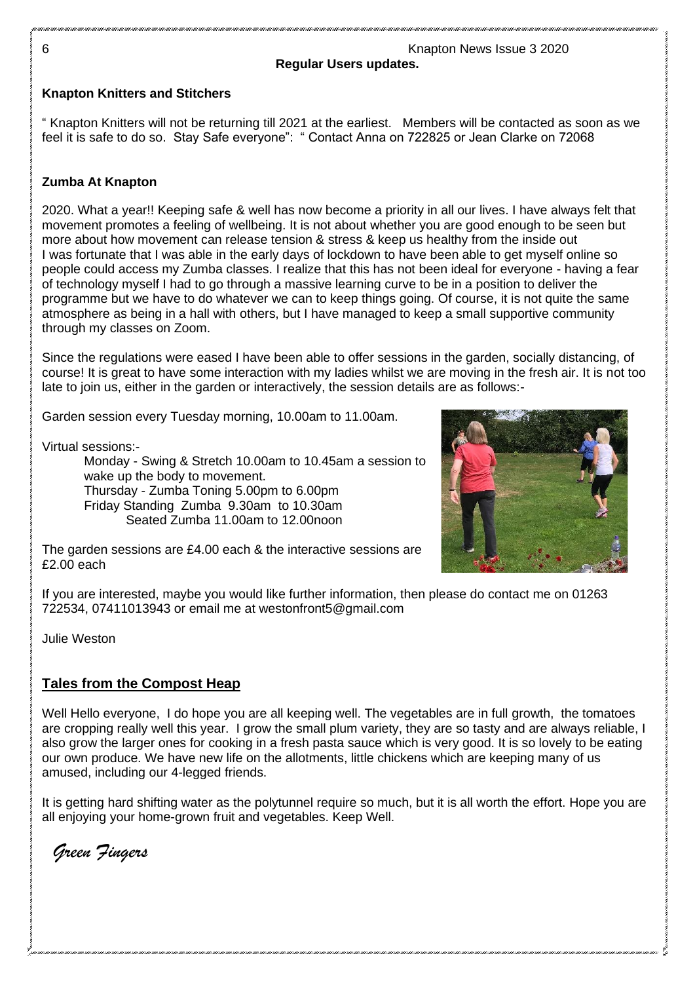**Regular Users updates.**

#### **Knapton Knitters and Stitchers**

" Knapton Knitters will not be returning till 2021 at the earliest. Members will be contacted as soon as we feel it is safe to do so. Stay Safe everyone": " Contact Anna on 722825 or Jean Clarke on 72068

#### **Zumba At Knapton**

2020. What a year!! Keeping safe & well has now become a priority in all our lives. I have always felt that movement promotes a feeling of wellbeing. It is not about whether you are good enough to be seen but more about how movement can release tension & stress & keep us healthy from the inside out I was fortunate that I was able in the early days of lockdown to have been able to get myself online so people could access my Zumba classes. I realize that this has not been ideal for everyone - having a fear of technology myself I had to go through a massive learning curve to be in a position to deliver the programme but we have to do whatever we can to keep things going. Of course, it is not quite the same atmosphere as being in a hall with others, but I have managed to keep a small supportive community through my classes on Zoom.

Since the regulations were eased I have been able to offer sessions in the garden, socially distancing, of course! It is great to have some interaction with my ladies whilst we are moving in the fresh air. It is not too late to join us, either in the garden or interactively, the session details are as follows:-

Garden session every Tuesday morning, 10.00am to 11.00am.

Virtual sessions:-

Monday - Swing & Stretch 10.00am to 10.45am a session to wake up the body to movement. Thursday - Zumba Toning 5.00pm to 6.00pm Friday Standing Zumba 9.30am to 10.30am Seated Zumba 11.00am to 12.00noon



The garden sessions are £4.00 each & the interactive sessions are £2.00 each

If you are interested, maybe you would like further information, then please do contact me on 01263 722534, 07411013943 or email me at westonfront5@gmail.com

Julie Weston

#### **Tales from the Compost Heap**

Well Hello everyone. I do hope you are all keeping well. The vegetables are in full growth, the tomatoes are cropping really well this year. I grow the small plum variety, they are so tasty and are always reliable, I also grow the larger ones for cooking in a fresh pasta sauce which is very good. It is so lovely to be eating our own produce. We have new life on the allotments, little chickens which are keeping many of us amused, including our 4-legged friends.

It is getting hard shifting water as the polytunnel require so much, but it is all worth the effort. Hope you are all enjoying your home-grown fruit and vegetables. Keep Well.

 *Green Fingers*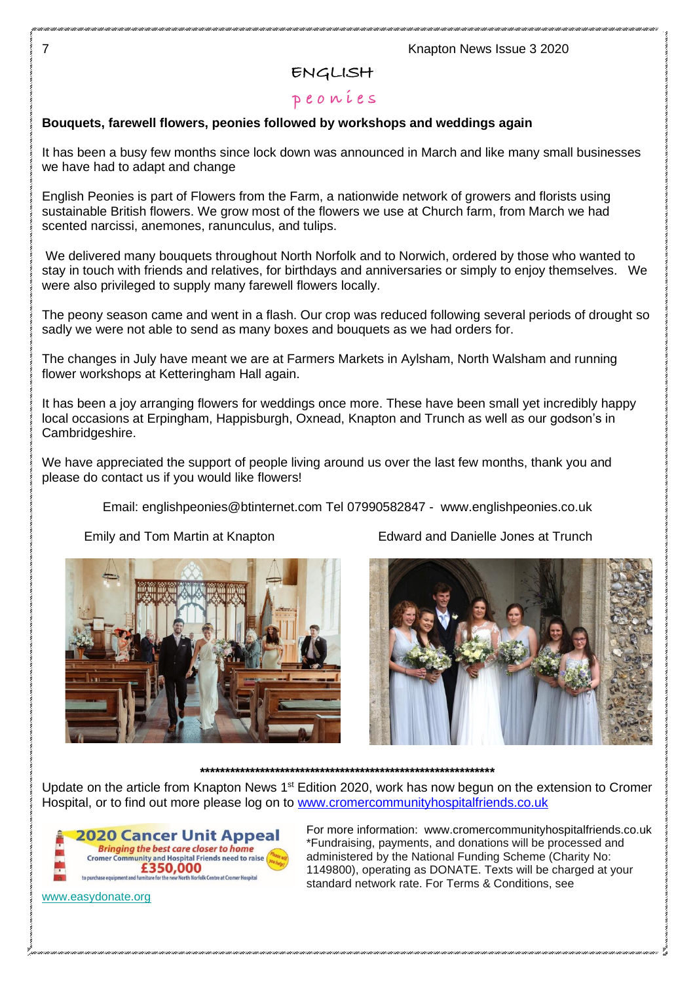## ENGLISH

# peonies

#### **Bouquets, farewell flowers, peonies followed by workshops and weddings again**

It has been a busy few months since lock down was announced in March and like many small businesses we have had to adapt and change

English Peonies is part of Flowers from the Farm, a nationwide network of growers and florists using sustainable British flowers. We grow most of the flowers we use at Church farm, from March we had scented narcissi, anemones, ranunculus, and tulips.

We delivered many bouquets throughout North Norfolk and to Norwich, ordered by those who wanted to stay in touch with friends and relatives, for birthdays and anniversaries or simply to enjoy themselves. We were also privileged to supply many farewell flowers locally.

The peony season came and went in a flash. Our crop was reduced following several periods of drought so sadly we were not able to send as many boxes and bouquets as we had orders for.

The changes in July have meant we are at Farmers Markets in Aylsham, North Walsham and running flower workshops at Ketteringham Hall again.

It has been a joy arranging flowers for weddings once more. These have been small yet incredibly happy local occasions at Erpingham, Happisburgh, Oxnead, Knapton and Trunch as well as our godson's in Cambridgeshire.

We have appreciated the support of people living around us over the last few months, thank you and please do contact us if you would like flowers!

Email: [englishpeonies@btinternet.com](mailto:englishpeonies@btinternet.com) Tel 07990582847 - www.englishpeonies.co.uk

Emily and Tom Martin at Knapton Edward and Danielle Jones at Trunch





# **\*\*\*\*\*\*\*\*\*\*\*\*\*\*\*\*\*\*\*\*\*\*\*\*\*\*\*\*\*\*\*\*\*\*\*\*\*\*\*\*\*\*\*\*\*\*\*\*\*\*\*\*\*\*\*\*\*\*\***

Update on the article from Knapton News 1<sup>st</sup> Edition 2020, work has now begun on the extension to Cromer Hospital, or to find out more please log on to [www.cromercommunityhospitalfriends.co.uk](http://www.cromercommunityhospitalfriends.co.uk/)



[www.easydonate.org](http://www.easydonate.org/)

For more information: www.cromercommunityhospitalfriends.co.uk \*Fundraising, payments, and donations will be processed and administered by the National Funding Scheme (Charity No: 1149800), operating as DONATE. Texts will be charged at your standard network rate. For Terms & Conditions, see